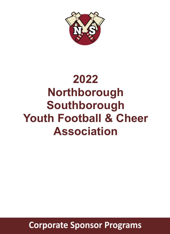

# **2022 Northborough Southborough Youth Football & Cheer Association**

**Corporate Sponsor Programs**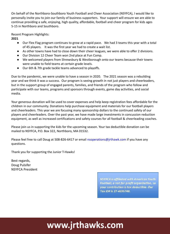On behalf of the Northboro-Southboro Youth Football and Cheer Association (NSYFCA), I would like to personally invite you to join our family of business supporters. Your support will ensure we are able to continue providing a safe, enjoying, high quality, affordable, football and cheer program for kids ages 5-15 in Northboro and Southboro.

Recent Program Highlights:

**2021**

- Our Flex Flag program continues to grow at a rapid pace. We had 3 teams this year with a total of 45 players. It was the first year we had to create a wait list.
- As other towns have had to close down their cheer leagues, we were able to offer 2 divisions.
- Our Division 12 Cheer Team won 2nd place at Fun Comp.
- We welcomed players from Shrewsbury & Westborough onto our teams because their towns were unable to field teams at certain grade levels.
- Our 6th & 7th grade tackle teams advanced to playoffs.

Due to the pandemic, we were unable to have a season in 2020. The 2021 season was a rebuilding year and we think it was a success. Our program is seeing growth in not just players and cheerleaders, but in the support group of engaged parents, families, and friends of the program who follow and participate with our teams, programs and sponsors through events, game day activities, and social media.

Your generous donation will be used to cover expenses and help keep registration fees affordable for the children in our community. Donations help purchase equipment and materials for our football players and cheerleaders. This year we are focusing many sponsorship dollars to the continued safety of our players and cheerleaders. Over the past year, we have made large investments in concussion reduction equipment, as well as increased certifications and safety courses for all football & cheerleading coaches.

Please join us in supporting the kids for the upcoming season. Your tax deductible donation can be mailed to NSYFCA, P.O. Box 322, Northboro, MA 01532.

Please feel free to call Doug at 508-826-6417 or email nsoperations@jrthawk.com if you have any questions.

Thank you for supporting the Junior T-Hawks!

Best regards, Doug Pulsifer NSYFCA President

> **NSYFCA is affiliated with American Youth** Football, a not-for-profit organization, so your contribution is tax deductible. Our Tax ID# is 27-4696748.

## www.jrthawks.com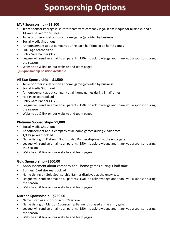### **Sponsorship Options**

#### **MVP Sponsorship -- \$2,500**

- Team Sponsor Package (t-shirt for team with company logo, Team Plaque for business, and a T-Hawk Basket for business)
- Table or other visual option at home game (provided by business)
- Social Media Shout out
- Announcement about company during each half time at all home games
- Full Page Yearbook ad
- Entry Gate Banner (3' x 3')
- League will send an email to all parents (150+) to acknowledge and thank you a sponsor during the season
- Website ad & link on our website and team pages
- **(6) Sponsorship position available**

#### **All Star Sponsorship -- \$1,500**

- Table or other visual option at home game (provided by business)
- Social Media Shout out
- Announcement about company at all home games during 3 half times
- Half Page Yearbook ad
- Entry Gate Banner (3' x 3')
- League will send an email to all parents (150+) to acknowledge and thank you a sponsor during the season
- Website ad & link on our website and team pages

#### **Platinum Sponsorship-- \$1,000**

- Social Media Shout out
- Announcement about company at all home games during 2 half times
- 1/4 Page Yearbook ad
- Name Listing on Platinum Sponsorship Banner displayed at the entry gate
- League will send an email to all parents (150+) to acknowledge and thank you a sponsor during the season
- Website ad & link on our website and team pages

#### **Gold Sponsorship-- \$500.00**

- Announcement about company at all home games during 1 half time
- Business Card size Yearbook ad
- Name Listing on Gold Sponsorship Banner displayed at the entry gate
- League will send an email to all parents (150+) to acknowledge and thank you a sponsor during the season
- Website ad & link on our website and team pages

#### **Maroon Sponsorship-- \$250.00**

- Name listed as a sponsor in our Yearbook
- Name Listing on Maroon Sponsorship Banner displayed at the entry gate
- League will send an email to all parents (150+) to acknowledge and thank you a sponsor during the season
- Website ad & link on our website and team pages